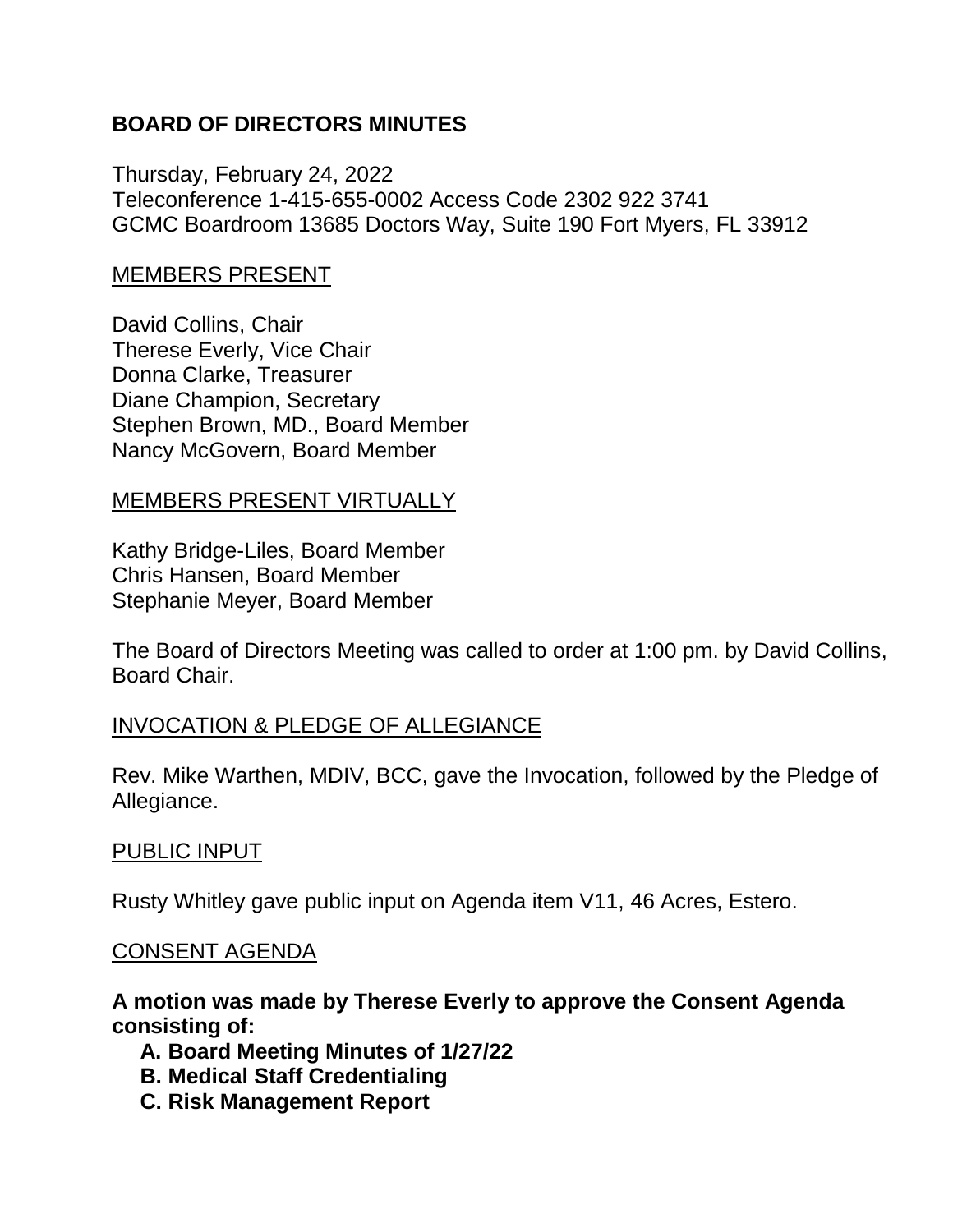# **BOARD OF DIRECTORS MINUTES**

Thursday, February 24, 2022 Teleconference 1-415-655-0002 Access Code 2302 922 3741 GCMC Boardroom 13685 Doctors Way, Suite 190 Fort Myers, FL 33912

### MEMBERS PRESENT

David Collins, Chair Therese Everly, Vice Chair Donna Clarke, Treasurer Diane Champion, Secretary Stephen Brown, MD., Board Member Nancy McGovern, Board Member

### MEMBERS PRESENT VIRTUALLY

Kathy Bridge-Liles, Board Member Chris Hansen, Board Member Stephanie Meyer, Board Member

The Board of Directors Meeting was called to order at 1:00 pm. by David Collins, Board Chair.

### INVOCATION & PLEDGE OF ALLEGIANCE

Rev. Mike Warthen, MDIV, BCC, gave the Invocation, followed by the Pledge of Allegiance.

### PUBLIC INPUT

Rusty Whitley gave public input on Agenda item V11, 46 Acres, Estero.

#### CONSENT AGENDA

**A motion was made by Therese Everly to approve the Consent Agenda consisting of:**

- **A. Board Meeting Minutes of 1/27/22**
- **B. Medical Staff Credentialing**
- **C. Risk Management Report**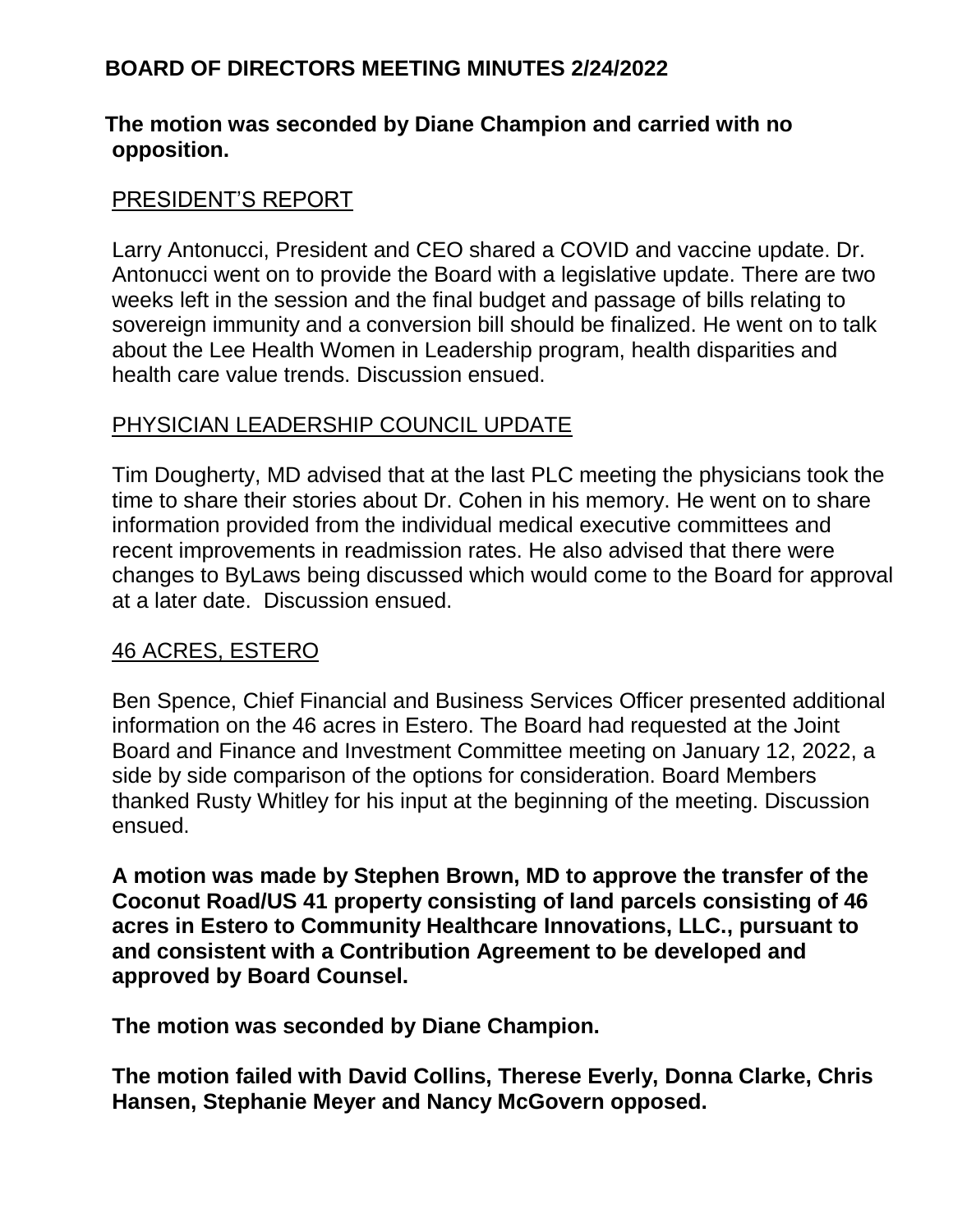### **The motion was seconded by Diane Champion and carried with no opposition.**

### PRESIDENT'S REPORT

Larry Antonucci, President and CEO shared a COVID and vaccine update. Dr. Antonucci went on to provide the Board with a legislative update. There are two weeks left in the session and the final budget and passage of bills relating to sovereign immunity and a conversion bill should be finalized. He went on to talk about the Lee Health Women in Leadership program, health disparities and health care value trends. Discussion ensued.

### PHYSICIAN LEADERSHIP COUNCIL UPDATE

Tim Dougherty, MD advised that at the last PLC meeting the physicians took the time to share their stories about Dr. Cohen in his memory. He went on to share information provided from the individual medical executive committees and recent improvements in readmission rates. He also advised that there were changes to ByLaws being discussed which would come to the Board for approval at a later date. Discussion ensued.

### 46 ACRES, ESTERO

Ben Spence, Chief Financial and Business Services Officer presented additional information on the 46 acres in Estero. The Board had requested at the Joint Board and Finance and Investment Committee meeting on January 12, 2022, a side by side comparison of the options for consideration. Board Members thanked Rusty Whitley for his input at the beginning of the meeting. Discussion ensued.

**A motion was made by Stephen Brown, MD to approve the transfer of the Coconut Road/US 41 property consisting of land parcels consisting of 46 acres in Estero to Community Healthcare Innovations, LLC., pursuant to and consistent with a Contribution Agreement to be developed and approved by Board Counsel.**

**The motion was seconded by Diane Champion.**

**The motion failed with David Collins, Therese Everly, Donna Clarke, Chris Hansen, Stephanie Meyer and Nancy McGovern opposed.**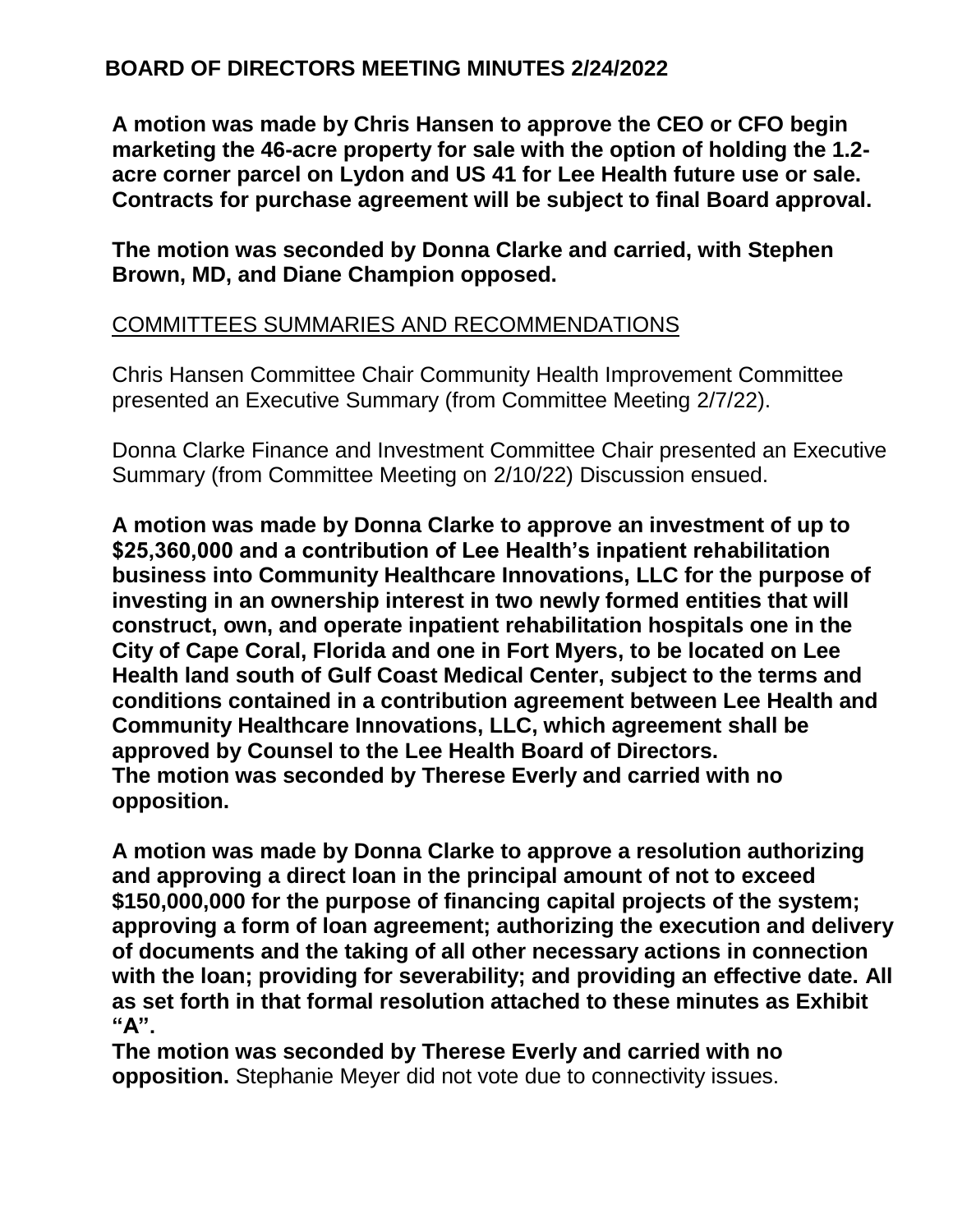**A motion was made by Chris Hansen to approve the CEO or CFO begin marketing the 46-acre property for sale with the option of holding the 1.2 acre corner parcel on Lydon and US 41 for Lee Health future use or sale. Contracts for purchase agreement will be subject to final Board approval.**

**The motion was seconded by Donna Clarke and carried, with Stephen Brown, MD, and Diane Champion opposed.**

# COMMITTEES SUMMARIES AND RECOMMENDATIONS

Chris Hansen Committee Chair Community Health Improvement Committee presented an Executive Summary (from Committee Meeting 2/7/22).

Donna Clarke Finance and Investment Committee Chair presented an Executive Summary (from Committee Meeting on 2/10/22) Discussion ensued.

**A motion was made by Donna Clarke to approve an investment of up to \$25,360,000 and a contribution of Lee Health's inpatient rehabilitation business into Community Healthcare Innovations, LLC for the purpose of investing in an ownership interest in two newly formed entities that will construct, own, and operate inpatient rehabilitation hospitals one in the City of Cape Coral, Florida and one in Fort Myers, to be located on Lee Health land south of Gulf Coast Medical Center, subject to the terms and conditions contained in a contribution agreement between Lee Health and Community Healthcare Innovations, LLC, which agreement shall be approved by Counsel to the Lee Health Board of Directors. The motion was seconded by Therese Everly and carried with no opposition.**

**A motion was made by Donna Clarke to approve a resolution authorizing and approving a direct loan in the principal amount of not to exceed \$150,000,000 for the purpose of financing capital projects of the system; approving a form of loan agreement; authorizing the execution and delivery of documents and the taking of all other necessary actions in connection with the loan; providing for severability; and providing an effective date. All as set forth in that formal resolution attached to these minutes as Exhibit "A".**

**The motion was seconded by Therese Everly and carried with no opposition.** Stephanie Meyer did not vote due to connectivity issues.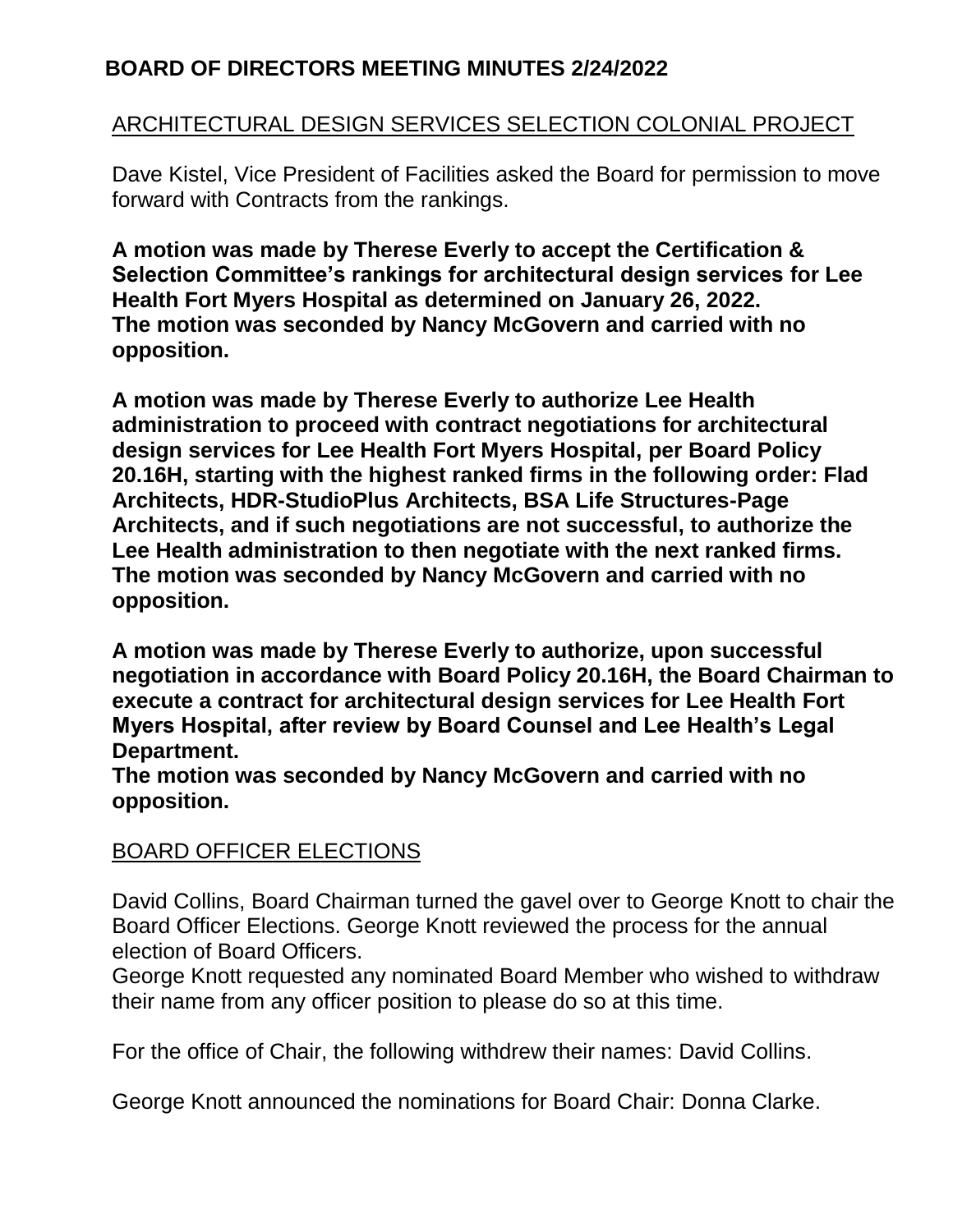# ARCHITECTURAL DESIGN SERVICES SELECTION COLONIAL PROJECT

Dave Kistel, Vice President of Facilities asked the Board for permission to move forward with Contracts from the rankings.

**A motion was made by Therese Everly to accept the Certification & Selection Committee's rankings for architectural design services for Lee Health Fort Myers Hospital as determined on January 26, 2022. The motion was seconded by Nancy McGovern and carried with no opposition.**

**A motion was made by Therese Everly to authorize Lee Health administration to proceed with contract negotiations for architectural design services for Lee Health Fort Myers Hospital, per Board Policy 20.16H, starting with the highest ranked firms in the following order: Flad Architects, HDR-StudioPlus Architects, BSA Life Structures-Page Architects, and if such negotiations are not successful, to authorize the Lee Health administration to then negotiate with the next ranked firms. The motion was seconded by Nancy McGovern and carried with no opposition.**

**A motion was made by Therese Everly to authorize, upon successful negotiation in accordance with Board Policy 20.16H, the Board Chairman to execute a contract for architectural design services for Lee Health Fort Myers Hospital, after review by Board Counsel and Lee Health's Legal Department.**

**The motion was seconded by Nancy McGovern and carried with no opposition.**

# BOARD OFFICER ELECTIONS

David Collins, Board Chairman turned the gavel over to George Knott to chair the Board Officer Elections. George Knott reviewed the process for the annual election of Board Officers.

George Knott requested any nominated Board Member who wished to withdraw their name from any officer position to please do so at this time.

For the office of Chair, the following withdrew their names: David Collins.

George Knott announced the nominations for Board Chair: Donna Clarke.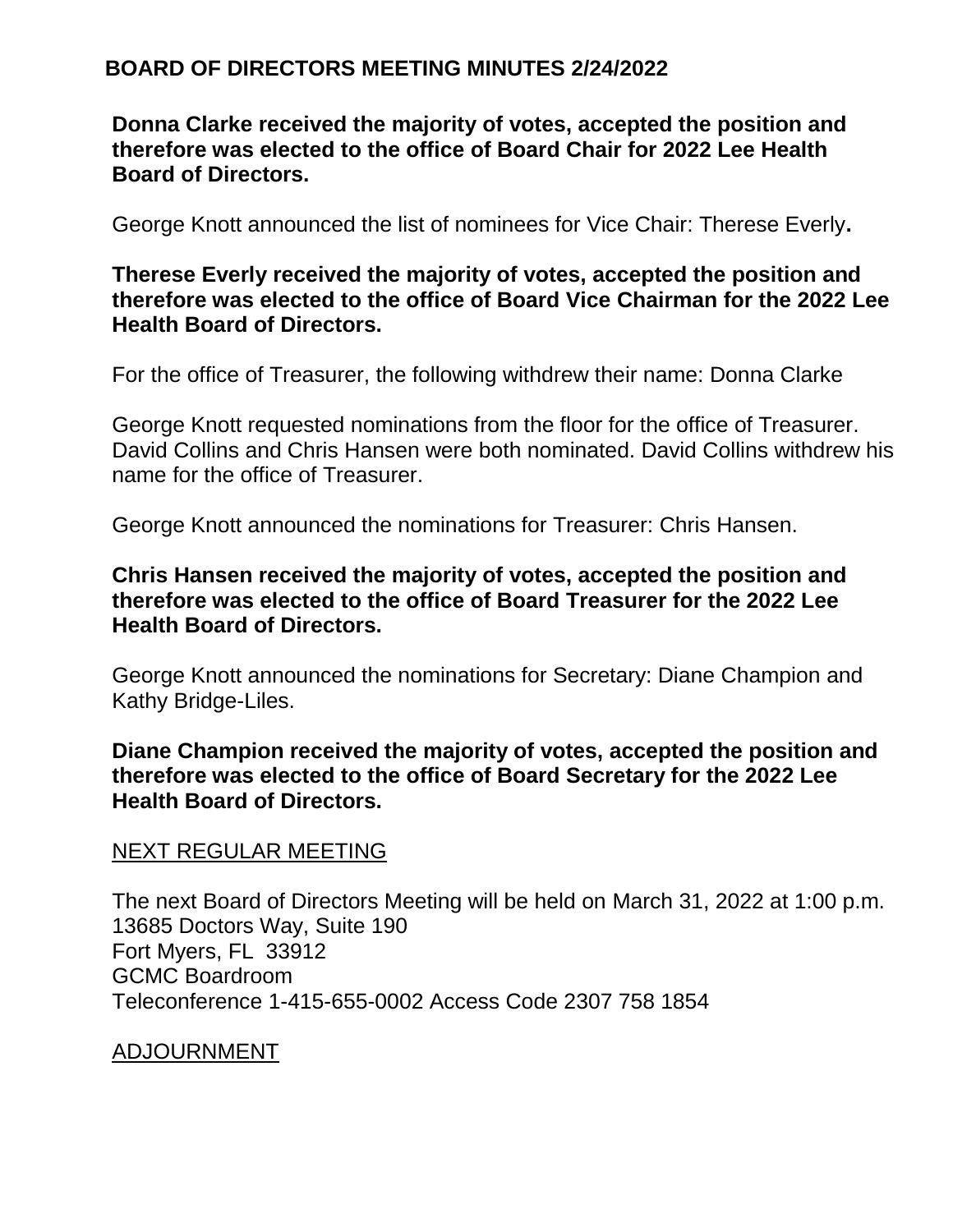**Donna Clarke received the majority of votes, accepted the position and therefore was elected to the office of Board Chair for 2022 Lee Health Board of Directors.**

George Knott announced the list of nominees for Vice Chair: Therese Everly**.** 

### **Therese Everly received the majority of votes, accepted the position and therefore was elected to the office of Board Vice Chairman for the 2022 Lee Health Board of Directors.**

For the office of Treasurer, the following withdrew their name: Donna Clarke

George Knott requested nominations from the floor for the office of Treasurer. David Collins and Chris Hansen were both nominated. David Collins withdrew his name for the office of Treasurer.

George Knott announced the nominations for Treasurer: Chris Hansen.

### **Chris Hansen received the majority of votes, accepted the position and therefore was elected to the office of Board Treasurer for the 2022 Lee Health Board of Directors.**

George Knott announced the nominations for Secretary: Diane Champion and Kathy Bridge-Liles.

### **Diane Champion received the majority of votes, accepted the position and therefore was elected to the office of Board Secretary for the 2022 Lee Health Board of Directors.**

### NEXT REGULAR MEETING

The next Board of Directors Meeting will be held on March 31, 2022 at 1:00 p.m. 13685 Doctors Way, Suite 190 Fort Myers, FL 33912 GCMC Boardroom Teleconference 1-415-655-0002 Access Code 2307 758 1854

#### ADJOURNMENT